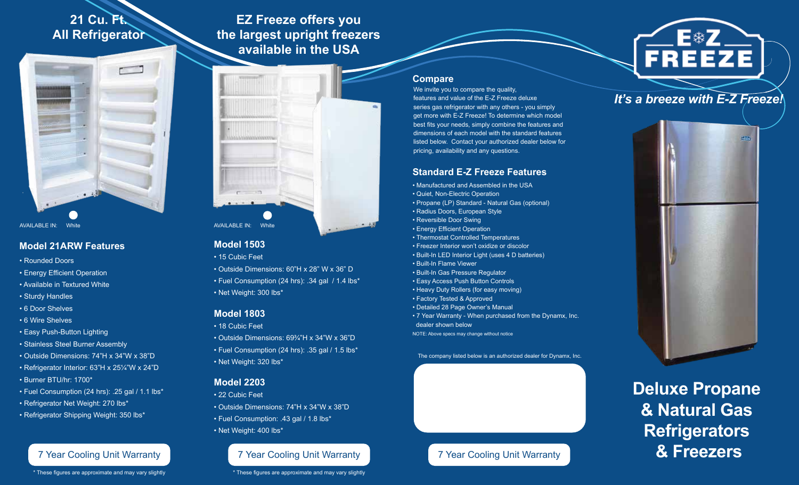# **21 Cu. Ft. All Refrigerator**



AVAILABLE IN: White AVAILABLE IN: White AVAILABLE IN: White

## **Model 21ARW Features**

- Rounded Doors
- Energy Efficient Operation
- Available in Textured White
- Sturdy Handles
- 6 Door Shelves
- 6 Wire Shelves
- Easy Push-Button Lighting
- Stainless Steel Burner Assembly
- Outside Dimensions: 74"H x 34"W x 38"D
- Refrigerator Interior: 63"H x 251/4"W x 24"D
- Burner BTU/hr: 1700\*
- Fuel Consumption (24 hrs): .25 gal / 1.1 lbs\*
- Refrigerator Net Weight: 270 lbs\*
- Refrigerator Shipping Weight: 350 lbs\*

\* These figures are approximate and may vary slightly



**EZ Freeze offers you**



### **Model 1503**

- 15 Cubic Feet
- Outside Dimensions: 60"H x 28" W x 36" D
- Fuel Consumption (24 hrs): .34 gal / 1.4 lbs\*
- Net Weight: 300 lbs\*

## **Model 1803**

- 18 Cubic Feet
- Outside Dimensions: 69³⁄4"H x 34"W x 36"D • Fuel Consumption (24 hrs): .35 gal / 1.5 lbs\* • Net Weight: 320 lbs\*
- 
- **Model 2203**
- 22 Cubic Feet
- Outside Dimensions: 74"H x 34"W x 38"D
- Fuel Consumption: .43 gal / 1.8 lbs\*
- Net Weight: 400 lbs\*

## 7 Year Cooling Unit Warranty **7 Year Cooling Unit Warranty 7 Year Cooling Unit Warranty** 7 Year Cooling Unit Warranty

#### \* These figures are approximate and may vary slightly



#### **Compare**

We invite you to compare the quality, features and value of the E-Z Freeze deluxe series gas refrigerator with any others - you simply get more with E-Z Freeze! To determine which model best fits your needs, simply combine the features and dimensions of each model with the standard features listed below. Contact your authorized dealer below for pricing, availability and any questions.

## **Standard E-Z Freeze Features**

• Manufactured and Assembled in the USA • Quiet, Non-Electric Operation • Propane (LP) Standard - Natural Gas (optional) • Radius Doors, European Style • Reversible Door Swing • Energy Efficient Operation • Thermostat Controlled Temperatures • Freezer Interior won't oxidize or discolor • Built-In LED Interior Light (uses 4 D batteries) • Built-In Flame Viewer • Built-In Gas Pressure Regulator • Easy Access Push Button Controls • Heavy Duty Rollers (for easy moving) • Factory Tested & Approved • Detailed 28 Page Owner's Manual • 7 Year Warranty - When purchased from the Dynamx, Inc. dealer shown below NOTE: Above specs may change without notice

The company listed below is an authorized dealer for Dynamx, Inc.

# *It's a breeze with E-Z Freeze!*



**Deluxe Propane & Natural Gas Refrigerators & Freezers**